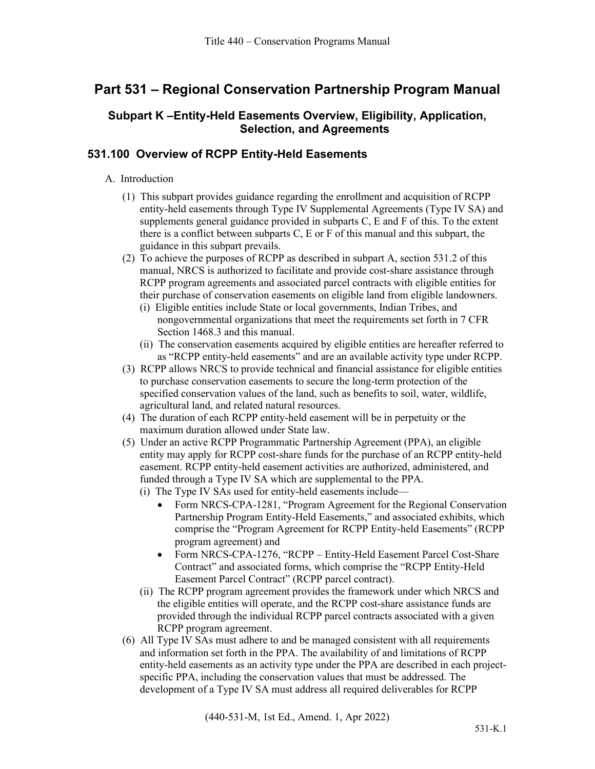# **Part 531 – Regional Conservation Partnership Program Manual**

# **Subpart K –Entity-Held Easements Overview, Eligibility, Application, Selection, and Agreements**

# **531.100 Overview of RCPP Entity-Held Easements**

- A. Introduction
	- (1) This subpart provides guidance regarding the enrollment and acquisition of RCPP entity-held easements through Type IV Supplemental Agreements (Type IV SA) and supplements general guidance provided in subparts C, E and F of this. To the extent there is a conflict between subparts C, E or F of this manual and this subpart, the guidance in this subpart prevails.
	- (2) To achieve the purposes of RCPP as described in subpart A, section 531.2 of this manual, NRCS is authorized to facilitate and provide cost-share assistance through RCPP program agreements and associated parcel contracts with eligible entities for their purchase of conservation easements on eligible land from eligible landowners.
		- (i) Eligible entities include State or local governments, Indian Tribes, and nongovernmental organizations that meet the requirements set forth in 7 CFR Section 1468.3 and this manual.
		- (ii) The conservation easements acquired by eligible entities are hereafter referred to as "RCPP entity-held easements" and are an available activity type under RCPP.
	- (3) RCPP allows NRCS to provide technical and financial assistance for eligible entities to purchase conservation easements to secure the long-term protection of the specified conservation values of the land, such as benefits to soil, water, wildlife, agricultural land, and related natural resources.
	- (4) The duration of each RCPP entity-held easement will be in perpetuity or the maximum duration allowed under State law.
	- (5) Under an active RCPP Programmatic Partnership Agreement (PPA), an eligible entity may apply for RCPP cost-share funds for the purchase of an RCPP entity-held easement. RCPP entity-held easement activities are authorized, administered, and funded through a Type IV SA which are supplemental to the PPA.
		- (i) The Type IV SAs used for entity-held easements include—
			- Form NRCS-CPA-1281, "Program Agreement for the Regional Conservation Partnership Program Entity-Held Easements," and associated exhibits, which comprise the "Program Agreement for RCPP Entity-held Easements" (RCPP program agreement) and
			- Form NRCS-CPA-1276, "RCPP Entity-Held Easement Parcel Cost-Share Contract" and associated forms, which comprise the "RCPP Entity-Held Easement Parcel Contract" (RCPP parcel contract).
		- (ii) The RCPP program agreement provides the framework under which NRCS and the eligible entities will operate, and the RCPP cost-share assistance funds are provided through the individual RCPP parcel contracts associated with a given RCPP program agreement.
	- (6) All Type IV SAs must adhere to and be managed consistent with all requirements and information set forth in the PPA. The availability of and limitations of RCPP entity-held easements as an activity type under the PPA are described in each projectspecific PPA, including the conservation values that must be addressed. The development of a Type IV SA must address all required deliverables for RCPP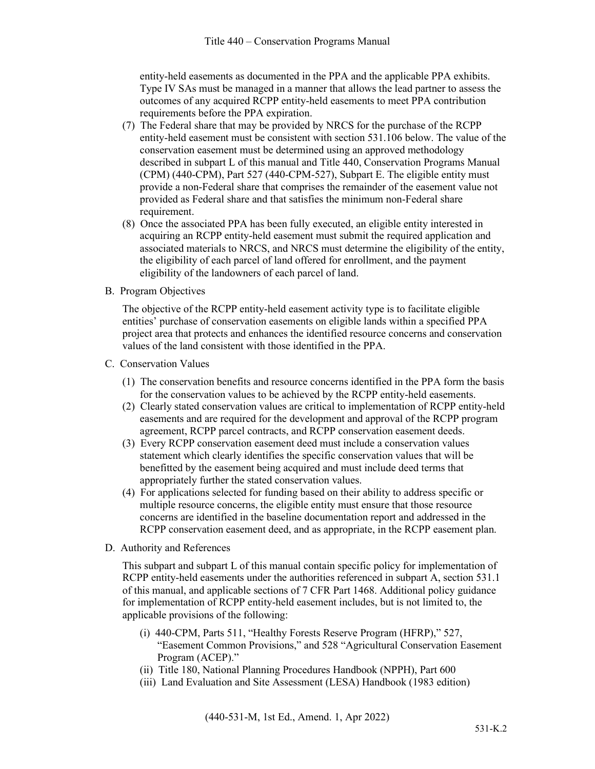entity-held easements as documented in the PPA and the applicable PPA exhibits. Type IV SAs must be managed in a manner that allows the lead partner to assess the outcomes of any acquired RCPP entity-held easements to meet PPA contribution requirements before the PPA expiration.

- (7) The Federal share that may be provided by NRCS for the purchase of the RCPP entity-held easement must be consistent with section 531.106 below. The value of the conservation easement must be determined using an approved methodology described in subpart L of this manual and Title 440, Conservation Programs Manual (CPM) (440-CPM), Part 527 (440-CPM-527), Subpart E. The eligible entity must provide a non-Federal share that comprises the remainder of the easement value not provided as Federal share and that satisfies the minimum non-Federal share requirement.
- (8) Once the associated PPA has been fully executed, an eligible entity interested in acquiring an RCPP entity-held easement must submit the required application and associated materials to NRCS, and NRCS must determine the eligibility of the entity, the eligibility of each parcel of land offered for enrollment, and the payment eligibility of the landowners of each parcel of land.
- B. Program Objectives

The objective of the RCPP entity-held easement activity type is to facilitate eligible entities' purchase of conservation easements on eligible lands within a specified PPA project area that protects and enhances the identified resource concerns and conservation values of the land consistent with those identified in the PPA.

- C. Conservation Values
	- (1) The conservation benefits and resource concerns identified in the PPA form the basis for the conservation values to be achieved by the RCPP entity-held easements.
	- (2) Clearly stated conservation values are critical to implementation of RCPP entity-held easements and are required for the development and approval of the RCPP program agreement, RCPP parcel contracts, and RCPP conservation easement deeds.
	- (3) Every RCPP conservation easement deed must include a conservation values statement which clearly identifies the specific conservation values that will be benefitted by the easement being acquired and must include deed terms that appropriately further the stated conservation values.
	- (4) For applications selected for funding based on their ability to address specific or multiple resource concerns, the eligible entity must ensure that those resource concerns are identified in the baseline documentation report and addressed in the RCPP conservation easement deed, and as appropriate, in the RCPP easement plan.
- D. Authority and References

This subpart and subpart L of this manual contain specific policy for implementation of RCPP entity-held easements under the authorities referenced in subpart A, section 531.1 of this manual, and applicable sections of 7 CFR Part 1468. Additional policy guidance for implementation of RCPP entity-held easement includes, but is not limited to, the applicable provisions of the following:

- (i) 440-CPM, Parts 511, "Healthy Forests Reserve Program (HFRP)," 527, "Easement Common Provisions," and 528 "Agricultural Conservation Easement Program (ACEP)."
- (ii) Title 180, National Planning Procedures Handbook (NPPH), Part 600
- (iii) Land Evaluation and Site Assessment (LESA) Handbook (1983 edition)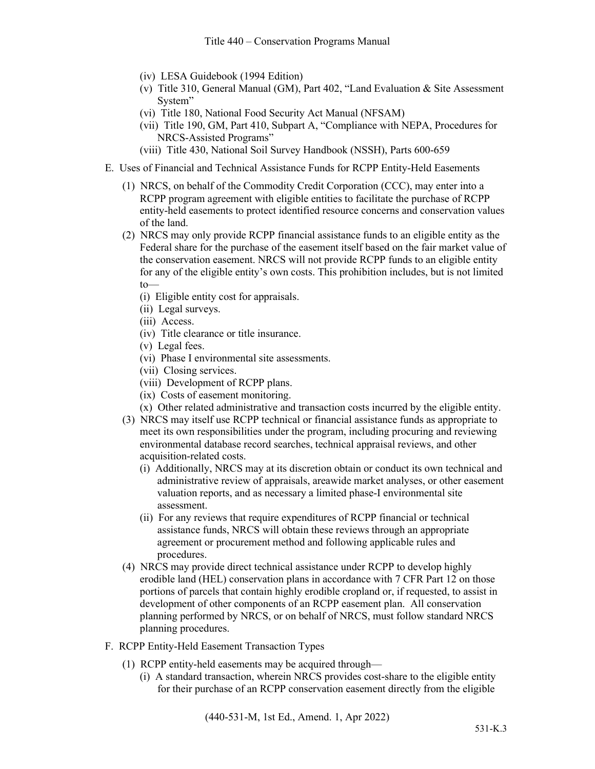- (iv) LESA Guidebook (1994 Edition)
- (v) Title 310, General Manual (GM), Part 402, "Land Evaluation & Site Assessment System"
- (vi) Title 180, National Food Security Act Manual (NFSAM)
- (vii) Title 190, GM, Part 410, Subpart A, "Compliance with NEPA, Procedures for NRCS-Assisted Programs"
- (viii) Title 430, National Soil Survey Handbook (NSSH), Parts 600-659
- E. Uses of Financial and Technical Assistance Funds for RCPP Entity-Held Easements
	- (1) NRCS, on behalf of the Commodity Credit Corporation (CCC), may enter into a RCPP program agreement with eligible entities to facilitate the purchase of RCPP entity-held easements to protect identified resource concerns and conservation values of the land.
	- (2) NRCS may only provide RCPP financial assistance funds to an eligible entity as the Federal share for the purchase of the easement itself based on the fair market value of the conservation easement. NRCS will not provide RCPP funds to an eligible entity for any of the eligible entity's own costs. This prohibition includes, but is not limited to—
		- (i) Eligible entity cost for appraisals.
		- (ii) Legal surveys.
		- (iii) Access.
		- (iv) Title clearance or title insurance.
		- (v) Legal fees.
		- (vi) Phase I environmental site assessments.
		- (vii) Closing services.
		- (viii) Development of RCPP plans.
		- (ix) Costs of easement monitoring.
		- (x) Other related administrative and transaction costs incurred by the eligible entity.
	- (3) NRCS may itself use RCPP technical or financial assistance funds as appropriate to meet its own responsibilities under the program, including procuring and reviewing environmental database record searches, technical appraisal reviews, and other acquisition-related costs.
		- (i) Additionally, NRCS may at its discretion obtain or conduct its own technical and administrative review of appraisals, areawide market analyses, or other easement valuation reports, and as necessary a limited phase-I environmental site assessment.
		- (ii) For any reviews that require expenditures of RCPP financial or technical assistance funds, NRCS will obtain these reviews through an appropriate agreement or procurement method and following applicable rules and procedures.
	- (4) NRCS may provide direct technical assistance under RCPP to develop highly erodible land (HEL) conservation plans in accordance with 7 CFR Part 12 on those portions of parcels that contain highly erodible cropland or, if requested, to assist in development of other components of an RCPP easement plan. All conservation planning performed by NRCS, or on behalf of NRCS, must follow standard NRCS planning procedures.
- F. RCPP Entity-Held Easement Transaction Types
	- (1) RCPP entity-held easements may be acquired through—
		- (i) A standard transaction, wherein NRCS provides cost-share to the eligible entity for their purchase of an RCPP conservation easement directly from the eligible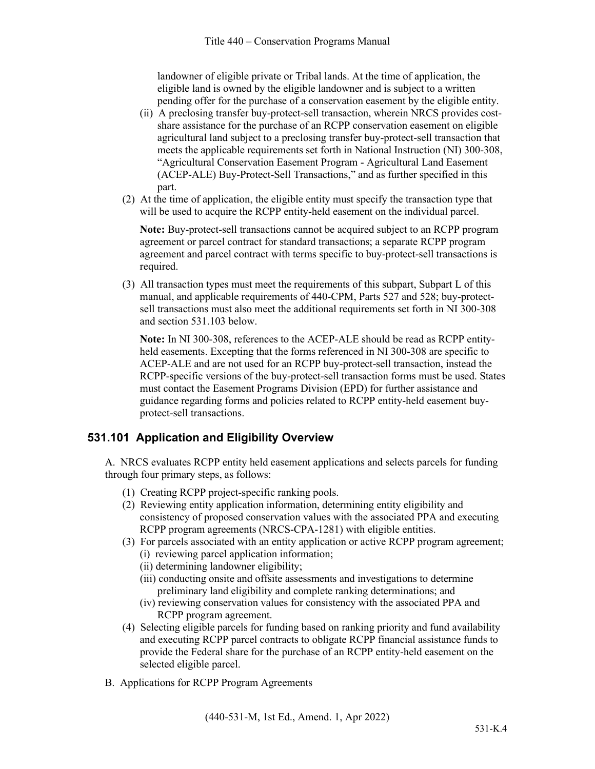landowner of eligible private or Tribal lands. At the time of application, the eligible land is owned by the eligible landowner and is subject to a written pending offer for the purchase of a conservation easement by the eligible entity.

- (ii) A preclosing transfer buy-protect-sell transaction, wherein NRCS provides costshare assistance for the purchase of an RCPP conservation easement on eligible agricultural land subject to a preclosing transfer buy-protect-sell transaction that meets the applicable requirements set forth in National Instruction (NI) 300-308, "Agricultural Conservation Easement Program - Agricultural Land Easement (ACEP-ALE) Buy-Protect-Sell Transactions," and as further specified in this part.
- (2) At the time of application, the eligible entity must specify the transaction type that will be used to acquire the RCPP entity-held easement on the individual parcel.

**Note:** Buy-protect-sell transactions cannot be acquired subject to an RCPP program agreement or parcel contract for standard transactions; a separate RCPP program agreement and parcel contract with terms specific to buy-protect-sell transactions is required.

(3) All transaction types must meet the requirements of this subpart, Subpart L of this manual, and applicable requirements of 440-CPM, Parts 527 and 528; buy-protectsell transactions must also meet the additional requirements set forth in NI 300-308 and section 531.103 below.

**Note:** In NI 300-308, references to the ACEP-ALE should be read as RCPP entityheld easements. Excepting that the forms referenced in NI 300-308 are specific to ACEP-ALE and are not used for an RCPP buy-protect-sell transaction, instead the RCPP-specific versions of the buy-protect-sell transaction forms must be used. States must contact the Easement Programs Division (EPD) for further assistance and guidance regarding forms and policies related to RCPP entity-held easement buyprotect-sell transactions.

### **531.101 Application and Eligibility Overview**

A. NRCS evaluates RCPP entity held easement applications and selects parcels for funding through four primary steps, as follows:

- (1) Creating RCPP project-specific ranking pools.
- (2) Reviewing entity application information, determining entity eligibility and consistency of proposed conservation values with the associated PPA and executing RCPP program agreements (NRCS-CPA-1281) with eligible entities.
- (3) For parcels associated with an entity application or active RCPP program agreement; (i) reviewing parcel application information;
	- (ii) determining landowner eligibility;
	- (iii) conducting onsite and offsite assessments and investigations to determine preliminary land eligibility and complete ranking determinations; and
	- (iv) reviewing conservation values for consistency with the associated PPA and RCPP program agreement.
- (4) Selecting eligible parcels for funding based on ranking priority and fund availability and executing RCPP parcel contracts to obligate RCPP financial assistance funds to provide the Federal share for the purchase of an RCPP entity-held easement on the selected eligible parcel.
- B. Applications for RCPP Program Agreements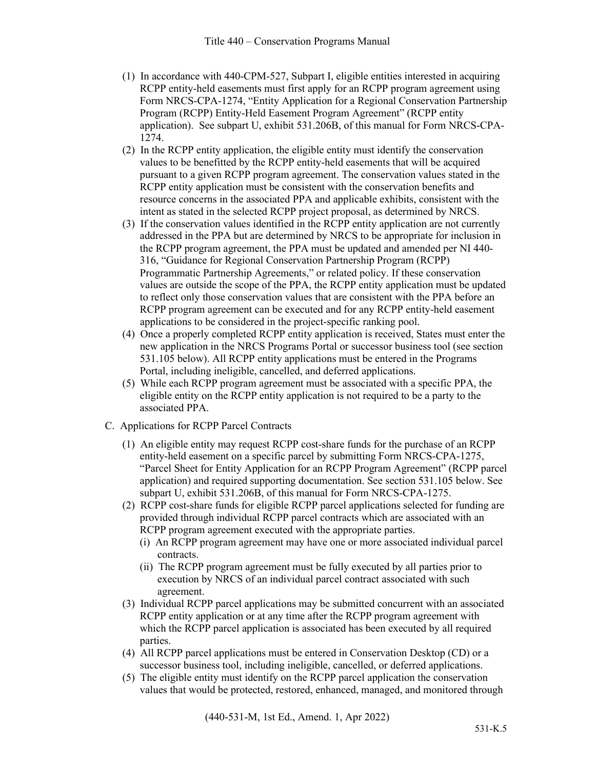- (1) In accordance with 440-CPM-527, Subpart I, eligible entities interested in acquiring RCPP entity-held easements must first apply for an RCPP program agreement using Form NRCS-CPA-1274, "Entity Application for a Regional Conservation Partnership Program (RCPP) Entity-Held Easement Program Agreement" (RCPP entity application). See subpart U, exhibit 531.206B, of this manual for Form NRCS-CPA-1274.
- (2) In the RCPP entity application, the eligible entity must identify the conservation values to be benefitted by the RCPP entity-held easements that will be acquired pursuant to a given RCPP program agreement. The conservation values stated in the RCPP entity application must be consistent with the conservation benefits and resource concerns in the associated PPA and applicable exhibits, consistent with the intent as stated in the selected RCPP project proposal, as determined by NRCS.
- (3) If the conservation values identified in the RCPP entity application are not currently addressed in the PPA but are determined by NRCS to be appropriate for inclusion in the RCPP program agreement, the PPA must be updated and amended per NI 440- 316, "Guidance for Regional Conservation Partnership Program (RCPP) Programmatic Partnership Agreements," or related policy. If these conservation values are outside the scope of the PPA, the RCPP entity application must be updated to reflect only those conservation values that are consistent with the PPA before an RCPP program agreement can be executed and for any RCPP entity-held easement applications to be considered in the project-specific ranking pool.
- (4) Once a properly completed RCPP entity application is received, States must enter the new application in the NRCS Programs Portal or successor business tool (see section 531.105 below). All RCPP entity applications must be entered in the Programs Portal, including ineligible, cancelled, and deferred applications.
- (5) While each RCPP program agreement must be associated with a specific PPA, the eligible entity on the RCPP entity application is not required to be a party to the associated PPA.
- C. Applications for RCPP Parcel Contracts
	- (1) An eligible entity may request RCPP cost-share funds for the purchase of an RCPP entity-held easement on a specific parcel by submitting Form NRCS-CPA-1275, "Parcel Sheet for Entity Application for an RCPP Program Agreement" (RCPP parcel application) and required supporting documentation. See section 531.105 below. See subpart U, exhibit 531.206B, of this manual for Form NRCS-CPA-1275.
	- (2) RCPP cost-share funds for eligible RCPP parcel applications selected for funding are provided through individual RCPP parcel contracts which are associated with an RCPP program agreement executed with the appropriate parties.
		- (i) An RCPP program agreement may have one or more associated individual parcel contracts.
		- (ii) The RCPP program agreement must be fully executed by all parties prior to execution by NRCS of an individual parcel contract associated with such agreement.
	- (3) Individual RCPP parcel applications may be submitted concurrent with an associated RCPP entity application or at any time after the RCPP program agreement with which the RCPP parcel application is associated has been executed by all required parties.
	- (4) All RCPP parcel applications must be entered in Conservation Desktop (CD) or a successor business tool, including ineligible, cancelled, or deferred applications.
	- (5) The eligible entity must identify on the RCPP parcel application the conservation values that would be protected, restored, enhanced, managed, and monitored through

(440-531-M, 1st Ed., Amend. 1, Apr 2022)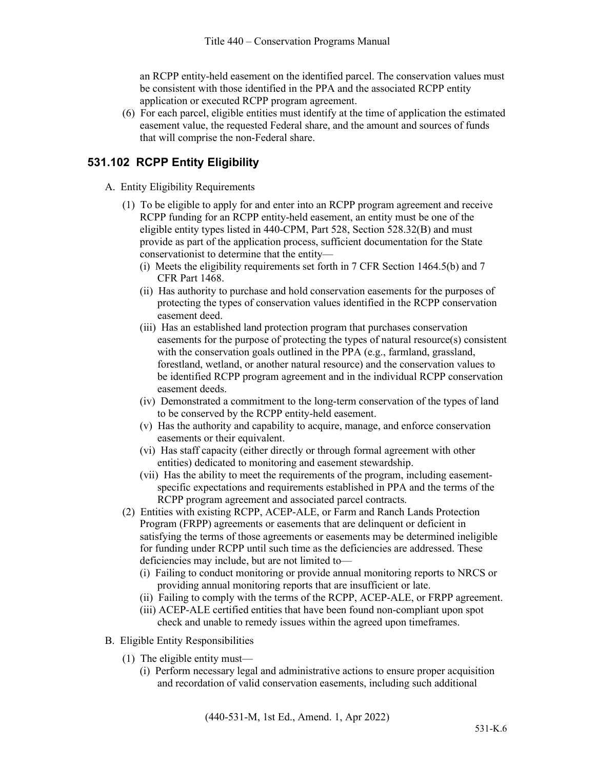an RCPP entity-held easement on the identified parcel. The conservation values must be consistent with those identified in the PPA and the associated RCPP entity application or executed RCPP program agreement.

(6) For each parcel, eligible entities must identify at the time of application the estimated easement value, the requested Federal share, and the amount and sources of funds that will comprise the non-Federal share.

### **531.102 RCPP Entity Eligibility**

- A. Entity Eligibility Requirements
	- (1) To be eligible to apply for and enter into an RCPP program agreement and receive RCPP funding for an RCPP entity-held easement, an entity must be one of the eligible entity types listed in 440-CPM, Part 528, Section 528.32(B) and must provide as part of the application process, sufficient documentation for the State conservationist to determine that the entity—
		- (i) Meets the eligibility requirements set forth in 7 CFR Section 1464.5(b) and 7 CFR Part 1468.
		- (ii) Has authority to purchase and hold conservation easements for the purposes of protecting the types of conservation values identified in the RCPP conservation easement deed.
		- (iii) Has an established land protection program that purchases conservation easements for the purpose of protecting the types of natural resource(s) consistent with the conservation goals outlined in the PPA (e.g., farmland, grassland, forestland, wetland, or another natural resource) and the conservation values to be identified RCPP program agreement and in the individual RCPP conservation easement deeds.
		- (iv) Demonstrated a commitment to the long-term conservation of the types of land to be conserved by the RCPP entity-held easement.
		- (v) Has the authority and capability to acquire, manage, and enforce conservation easements or their equivalent.
		- (vi) Has staff capacity (either directly or through formal agreement with other entities) dedicated to monitoring and easement stewardship.
		- (vii) Has the ability to meet the requirements of the program, including easementspecific expectations and requirements established in PPA and the terms of the RCPP program agreement and associated parcel contracts.
	- (2) Entities with existing RCPP, ACEP-ALE, or Farm and Ranch Lands Protection Program (FRPP) agreements or easements that are delinquent or deficient in satisfying the terms of those agreements or easements may be determined ineligible for funding under RCPP until such time as the deficiencies are addressed. These deficiencies may include, but are not limited to—
		- (i) Failing to conduct monitoring or provide annual monitoring reports to NRCS or providing annual monitoring reports that are insufficient or late.
		- (ii) Failing to comply with the terms of the RCPP, ACEP-ALE, or FRPP agreement.
		- (iii) ACEP-ALE certified entities that have been found non-compliant upon spot check and unable to remedy issues within the agreed upon timeframes.
- B. Eligible Entity Responsibilities
	- (1) The eligible entity must—
		- (i) Perform necessary legal and administrative actions to ensure proper acquisition and recordation of valid conservation easements, including such additional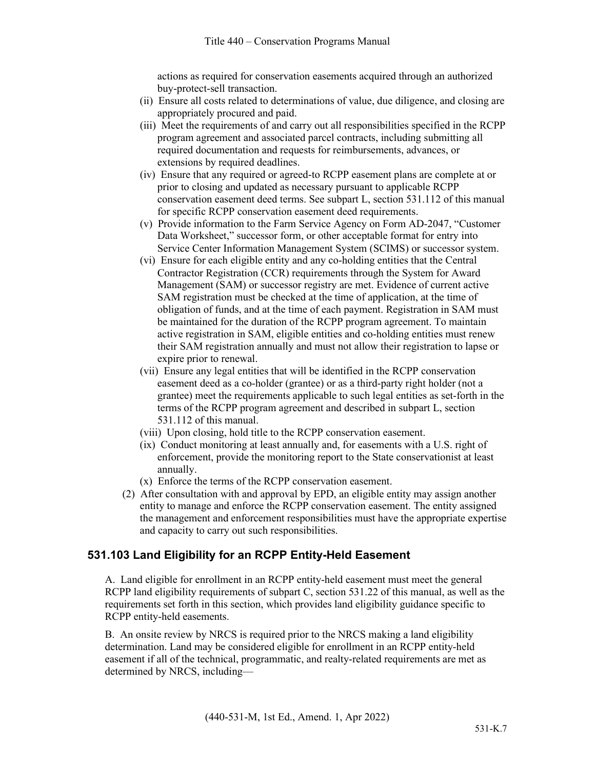actions as required for conservation easements acquired through an authorized buy-protect-sell transaction.

- (ii) Ensure all costs related to determinations of value, due diligence, and closing are appropriately procured and paid.
- (iii) Meet the requirements of and carry out all responsibilities specified in the RCPP program agreement and associated parcel contracts, including submitting all required documentation and requests for reimbursements, advances, or extensions by required deadlines.
- (iv) Ensure that any required or agreed-to RCPP easement plans are complete at or prior to closing and updated as necessary pursuant to applicable RCPP conservation easement deed terms. See subpart L, section 531.112 of this manual for specific RCPP conservation easement deed requirements.
- (v) Provide information to the Farm Service Agency on Form AD-2047, "Customer Data Worksheet," successor form, or other acceptable format for entry into Service Center Information Management System (SCIMS) or successor system.
- (vi) Ensure for each eligible entity and any co-holding entities that the Central Contractor Registration (CCR) requirements through the System for Award Management (SAM) or successor registry are met. Evidence of current active SAM registration must be checked at the time of application, at the time of obligation of funds, and at the time of each payment. Registration in SAM must be maintained for the duration of the RCPP program agreement. To maintain active registration in SAM, eligible entities and co-holding entities must renew their SAM registration annually and must not allow their registration to lapse or expire prior to renewal.
- (vii) Ensure any legal entities that will be identified in the RCPP conservation easement deed as a co-holder (grantee) or as a third-party right holder (not a grantee) meet the requirements applicable to such legal entities as set-forth in the terms of the RCPP program agreement and described in subpart L, section 531.112 of this manual.
- (viii) Upon closing, hold title to the RCPP conservation easement.
- (ix) Conduct monitoring at least annually and, for easements with a U.S. right of enforcement, provide the monitoring report to the State conservationist at least annually.
- (x) Enforce the terms of the RCPP conservation easement.
- (2) After consultation with and approval by EPD, an eligible entity may assign another entity to manage and enforce the RCPP conservation easement. The entity assigned the management and enforcement responsibilities must have the appropriate expertise and capacity to carry out such responsibilities.

### **531.103 Land Eligibility for an RCPP Entity-Held Easement**

A. Land eligible for enrollment in an RCPP entity-held easement must meet the general RCPP land eligibility requirements of subpart C, section 531.22 of this manual, as well as the requirements set forth in this section, which provides land eligibility guidance specific to RCPP entity-held easements.

B. An onsite review by NRCS is required prior to the NRCS making a land eligibility determination. Land may be considered eligible for enrollment in an RCPP entity-held easement if all of the technical, programmatic, and realty-related requirements are met as determined by NRCS, including—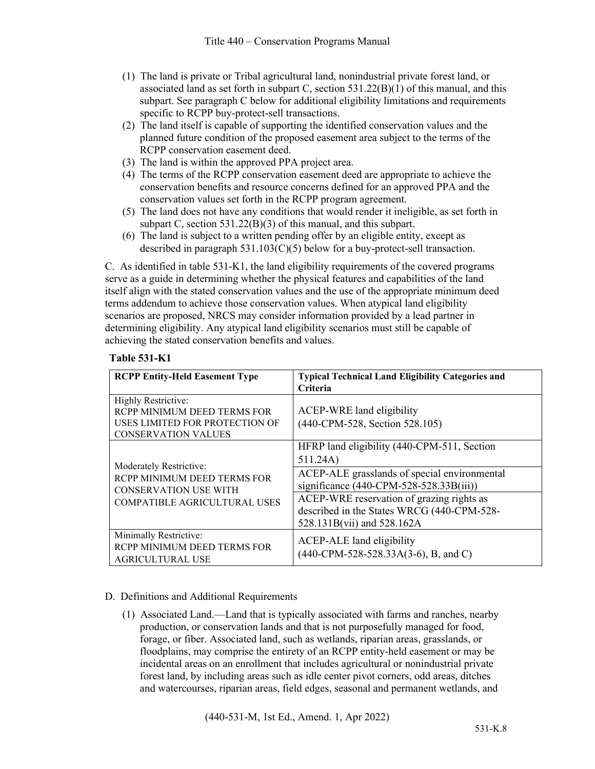- (1) The land is private or Tribal agricultural land, nonindustrial private forest land, or associated land as set forth in subpart C, section  $531.22(B)(1)$  of this manual, and this subpart. See paragraph C below for additional eligibility limitations and requirements specific to RCPP buy-protect-sell transactions.
- (2) The land itself is capable of supporting the identified conservation values and the planned future condition of the proposed easement area subject to the terms of the RCPP conservation easement deed.
- (3) The land is within the approved PPA project area.
- (4) The terms of the RCPP conservation easement deed are appropriate to achieve the conservation benefits and resource concerns defined for an approved PPA and the conservation values set forth in the RCPP program agreement.
- (5) The land does not have any conditions that would render it ineligible, as set forth in subpart C, section 531.22(B)(3) of this manual, and this subpart.
- (6) The land is subject to a written pending offer by an eligible entity, except as described in paragraph 531.103(C)(5) below for a buy-protect-sell transaction.

C. As identified in table 531-K1, the land eligibility requirements of the covered programs serve as a guide in determining whether the physical features and capabilities of the land itself align with the stated conservation values and the use of the appropriate minimum deed terms addendum to achieve those conservation values. When atypical land eligibility scenarios are proposed, NRCS may consider information provided by a lead partner in determining eligibility. Any atypical land eligibility scenarios must still be capable of achieving the stated conservation benefits and values.

#### **Table 531-K1**

| <b>RCPP Entity-Held Easement Type</b>                                                                                         | <b>Typical Technical Land Eligibility Categories and</b><br>Criteria                                                                                                                                                                                                             |
|-------------------------------------------------------------------------------------------------------------------------------|----------------------------------------------------------------------------------------------------------------------------------------------------------------------------------------------------------------------------------------------------------------------------------|
| Highly Restrictive:<br>RCPP MINIMUM DEED TERMS FOR<br>USES LIMITED FOR PROTECTION OF<br><b>CONSERVATION VALUES</b>            | ACEP-WRE land eligibility<br>(440-CPM-528, Section 528.105)                                                                                                                                                                                                                      |
| Moderately Restrictive:<br>RCPP MINIMUM DEED TERMS FOR<br><b>CONSERVATION USE WITH</b><br><b>COMPATIBLE AGRICULTURAL USES</b> | HFRP land eligibility (440-CPM-511, Section<br>511.24A)<br>ACEP-ALE grasslands of special environmental<br>significance $(440$ -CPM-528-528.33B $(iii)$<br>ACEP-WRE reservation of grazing rights as<br>described in the States WRCG (440-CPM-528-<br>528.131B(vii) and 528.162A |
| Minimally Restrictive:<br>RCPP MINIMUM DEED TERMS FOR<br><b>AGRICULTURAL USE</b>                                              | ACEP-ALE land eligibility<br>$(440$ -CPM-528-528.33A(3-6), B, and C)                                                                                                                                                                                                             |

#### D. Definitions and Additional Requirements

(1) Associated Land.—Land that is typically associated with farms and ranches, nearby production, or conservation lands and that is not purposefully managed for food, forage, or fiber. Associated land, such as wetlands, riparian areas, grasslands, or floodplains, may comprise the entirety of an RCPP entity-held easement or may be incidental areas on an enrollment that includes agricultural or nonindustrial private forest land, by including areas such as idle center pivot corners, odd areas, ditches and watercourses, riparian areas, field edges, seasonal and permanent wetlands, and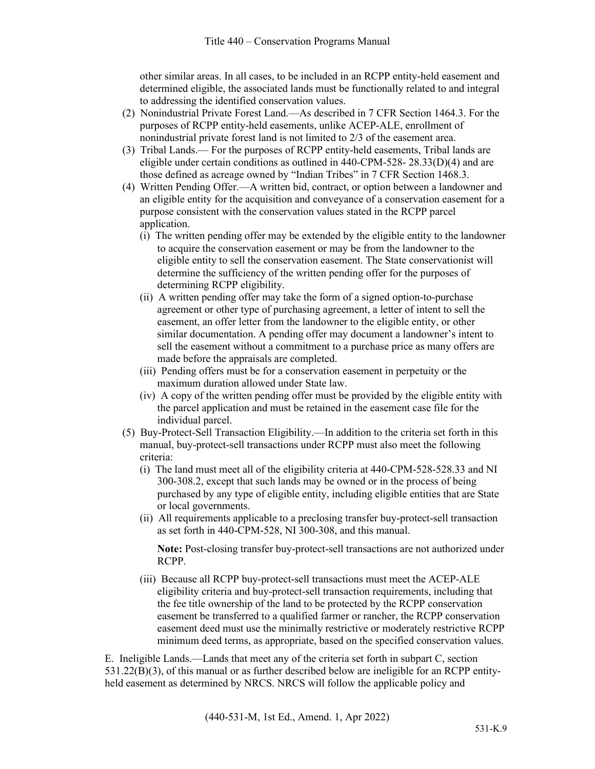other similar areas. In all cases, to be included in an RCPP entity-held easement and determined eligible, the associated lands must be functionally related to and integral to addressing the identified conservation values.

- (2) Nonindustrial Private Forest Land.—As described in 7 CFR Section 1464.3. For the purposes of RCPP entity-held easements, unlike ACEP-ALE, enrollment of nonindustrial private forest land is not limited to 2/3 of the easement area.
- (3) Tribal Lands.— For the purposes of RCPP entity-held easements, Tribal lands are eligible under certain conditions as outlined in  $440$ -CPM-528-  $28.33(D)(4)$  and are those defined as acreage owned by "Indian Tribes" in 7 CFR Section 1468.3.
- (4) Written Pending Offer.—A written bid, contract, or option between a landowner and an eligible entity for the acquisition and conveyance of a conservation easement for a purpose consistent with the conservation values stated in the RCPP parcel application.
	- (i) The written pending offer may be extended by the eligible entity to the landowner to acquire the conservation easement or may be from the landowner to the eligible entity to sell the conservation easement. The State conservationist will determine the sufficiency of the written pending offer for the purposes of determining RCPP eligibility.
	- (ii) A written pending offer may take the form of a signed option-to-purchase agreement or other type of purchasing agreement, a letter of intent to sell the easement, an offer letter from the landowner to the eligible entity, or other similar documentation. A pending offer may document a landowner's intent to sell the easement without a commitment to a purchase price as many offers are made before the appraisals are completed.
	- (iii) Pending offers must be for a conservation easement in perpetuity or the maximum duration allowed under State law.
	- (iv) A copy of the written pending offer must be provided by the eligible entity with the parcel application and must be retained in the easement case file for the individual parcel.
- (5) Buy-Protect-Sell Transaction Eligibility.—In addition to the criteria set forth in this manual, buy-protect-sell transactions under RCPP must also meet the following criteria:
	- (i) The land must meet all of the eligibility criteria at 440-CPM-528-528.33 and NI 300-308.2, except that such lands may be owned or in the process of being purchased by any type of eligible entity, including eligible entities that are State or local governments.
	- (ii) All requirements applicable to a preclosing transfer buy-protect-sell transaction as set forth in 440-CPM-528, NI 300-308, and this manual.

**Note:** Post-closing transfer buy-protect-sell transactions are not authorized under RCPP.

(iii) Because all RCPP buy-protect-sell transactions must meet the ACEP-ALE eligibility criteria and buy-protect-sell transaction requirements, including that the fee title ownership of the land to be protected by the RCPP conservation easement be transferred to a qualified farmer or rancher, the RCPP conservation easement deed must use the minimally restrictive or moderately restrictive RCPP minimum deed terms, as appropriate, based on the specified conservation values.

E. Ineligible Lands.—Lands that meet any of the criteria set forth in subpart C, section 531.22(B)(3), of this manual or as further described below are ineligible for an RCPP entityheld easement as determined by NRCS. NRCS will follow the applicable policy and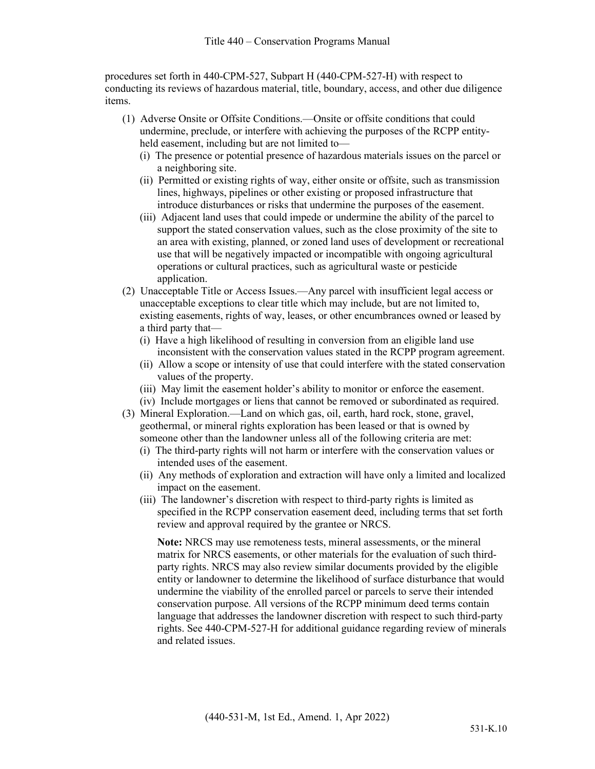procedures set forth in 440-CPM-527, Subpart H (440-CPM-527-H) with respect to conducting its reviews of hazardous material, title, boundary, access, and other due diligence items.

- (1) Adverse Onsite or Offsite Conditions.—Onsite or offsite conditions that could undermine, preclude, or interfere with achieving the purposes of the RCPP entityheld easement, including but are not limited to—
	- (i) The presence or potential presence of hazardous materials issues on the parcel or a neighboring site.
	- (ii) Permitted or existing rights of way, either onsite or offsite, such as transmission lines, highways, pipelines or other existing or proposed infrastructure that introduce disturbances or risks that undermine the purposes of the easement.
	- (iii) Adjacent land uses that could impede or undermine the ability of the parcel to support the stated conservation values, such as the close proximity of the site to an area with existing, planned, or zoned land uses of development or recreational use that will be negatively impacted or incompatible with ongoing agricultural operations or cultural practices, such as agricultural waste or pesticide application.
- (2) Unacceptable Title or Access Issues.—Any parcel with insufficient legal access or unacceptable exceptions to clear title which may include, but are not limited to, existing easements, rights of way, leases, or other encumbrances owned or leased by a third party that—
	- (i) Have a high likelihood of resulting in conversion from an eligible land use inconsistent with the conservation values stated in the RCPP program agreement.
	- (ii) Allow a scope or intensity of use that could interfere with the stated conservation values of the property.
	- (iii) May limit the easement holder's ability to monitor or enforce the easement.
	- (iv) Include mortgages or liens that cannot be removed or subordinated as required.
- (3) Mineral Exploration.—Land on which gas, oil, earth, hard rock, stone, gravel, geothermal, or mineral rights exploration has been leased or that is owned by someone other than the landowner unless all of the following criteria are met:
	- (i) The third-party rights will not harm or interfere with the conservation values or intended uses of the easement.
	- (ii) Any methods of exploration and extraction will have only a limited and localized impact on the easement.
	- (iii) The landowner's discretion with respect to third-party rights is limited as specified in the RCPP conservation easement deed, including terms that set forth review and approval required by the grantee or NRCS.

**Note:** NRCS may use remoteness tests, mineral assessments, or the mineral matrix for NRCS easements, or other materials for the evaluation of such thirdparty rights. NRCS may also review similar documents provided by the eligible entity or landowner to determine the likelihood of surface disturbance that would undermine the viability of the enrolled parcel or parcels to serve their intended conservation purpose. All versions of the RCPP minimum deed terms contain language that addresses the landowner discretion with respect to such third-party rights. See 440-CPM-527-H for additional guidance regarding review of minerals and related issues.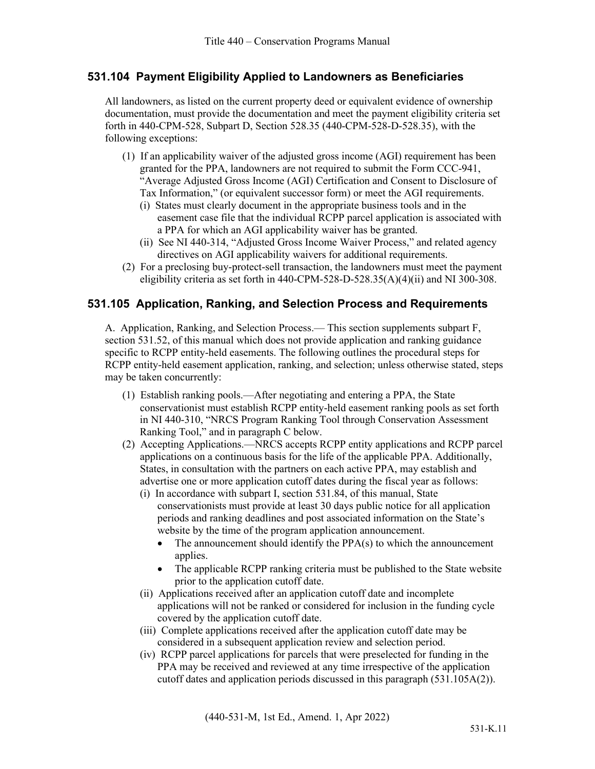### **531.104 Payment Eligibility Applied to Landowners as Beneficiaries**

All landowners, as listed on the current property deed or equivalent evidence of ownership documentation, must provide the documentation and meet the payment eligibility criteria set forth in 440-CPM-528, Subpart D, Section 528.35 (440-CPM-528-D-528.35), with the following exceptions:

- (1) If an applicability waiver of the adjusted gross income (AGI) requirement has been granted for the PPA, landowners are not required to submit the Form CCC-941, "Average Adjusted Gross Income (AGI) Certification and Consent to Disclosure of Tax Information," (or equivalent successor form) or meet the AGI requirements.
	- (i) States must clearly document in the appropriate business tools and in the easement case file that the individual RCPP parcel application is associated with a PPA for which an AGI applicability waiver has be granted.
	- (ii) See NI 440-314, "Adjusted Gross Income Waiver Process," and related agency directives on AGI applicability waivers for additional requirements.
- (2) For a preclosing buy-protect-sell transaction, the landowners must meet the payment eligibility criteria as set forth in 440-CPM-528-D-528.35(A)(4)(ii) and NI 300-308.

#### **531.105 Application, Ranking, and Selection Process and Requirements**

A. Application, Ranking, and Selection Process.— This section supplements subpart F, section 531.52, of this manual which does not provide application and ranking guidance specific to RCPP entity-held easements. The following outlines the procedural steps for RCPP entity-held easement application, ranking, and selection; unless otherwise stated, steps may be taken concurrently:

- (1) Establish ranking pools.—After negotiating and entering a PPA, the State conservationist must establish RCPP entity-held easement ranking pools as set forth in NI 440-310, "NRCS Program Ranking Tool through Conservation Assessment Ranking Tool," and in paragraph C below.
- (2) Accepting Applications.—NRCS accepts RCPP entity applications and RCPP parcel applications on a continuous basis for the life of the applicable PPA. Additionally, States, in consultation with the partners on each active PPA, may establish and advertise one or more application cutoff dates during the fiscal year as follows: (i) In accordance with subpart I, section 531.84, of this manual, State
	- conservationists must provide at least 30 days public notice for all application periods and ranking deadlines and post associated information on the State's website by the time of the program application announcement.
		- The announcement should identify the PPA(s) to which the announcement applies.
		- The applicable RCPP ranking criteria must be published to the State website prior to the application cutoff date.
	- (ii) Applications received after an application cutoff date and incomplete applications will not be ranked or considered for inclusion in the funding cycle covered by the application cutoff date.
	- (iii) Complete applications received after the application cutoff date may be considered in a subsequent application review and selection period.
	- (iv) RCPP parcel applications for parcels that were preselected for funding in the PPA may be received and reviewed at any time irrespective of the application cutoff dates and application periods discussed in this paragraph (531.105A(2)).

(440-531-M, 1st Ed., Amend. 1, Apr 2022)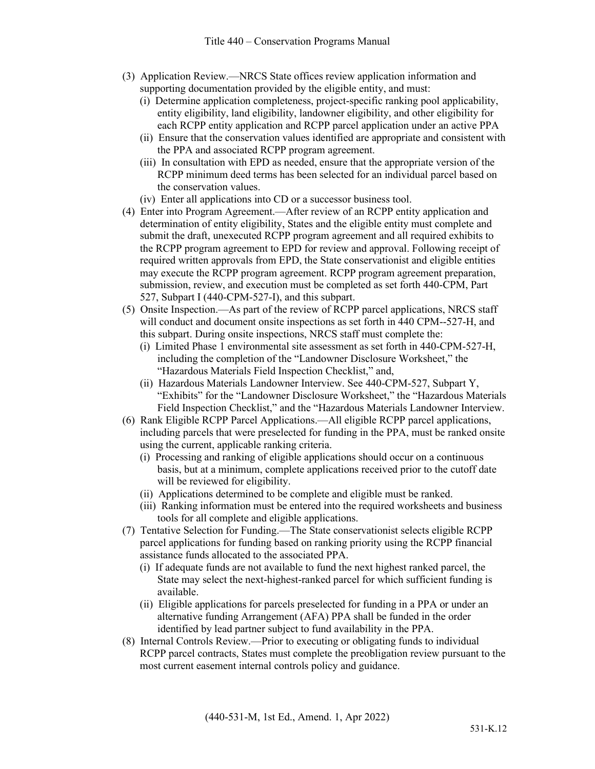- (3) Application Review.—NRCS State offices review application information and supporting documentation provided by the eligible entity, and must:
	- (i) Determine application completeness, project-specific ranking pool applicability, entity eligibility, land eligibility, landowner eligibility, and other eligibility for each RCPP entity application and RCPP parcel application under an active PPA
	- (ii) Ensure that the conservation values identified are appropriate and consistent with the PPA and associated RCPP program agreement.
	- (iii) In consultation with EPD as needed, ensure that the appropriate version of the RCPP minimum deed terms has been selected for an individual parcel based on the conservation values.
	- (iv) Enter all applications into CD or a successor business tool.
- (4) Enter into Program Agreement.—After review of an RCPP entity application and determination of entity eligibility, States and the eligible entity must complete and submit the draft, unexecuted RCPP program agreement and all required exhibits to the RCPP program agreement to EPD for review and approval. Following receipt of required written approvals from EPD, the State conservationist and eligible entities may execute the RCPP program agreement. RCPP program agreement preparation, submission, review, and execution must be completed as set forth 440-CPM, Part 527, Subpart I (440-CPM-527-I), and this subpart.
- (5) Onsite Inspection.—As part of the review of RCPP parcel applications, NRCS staff will conduct and document onsite inspections as set forth in 440 CPM--527-H, and this subpart. During onsite inspections, NRCS staff must complete the:
	- (i) Limited Phase 1 environmental site assessment as set forth in 440-CPM-527-H, including the completion of the "Landowner Disclosure Worksheet," the "Hazardous Materials Field Inspection Checklist," and,
	- (ii) Hazardous Materials Landowner Interview. See 440-CPM-527, Subpart Y, "Exhibits" for the "Landowner Disclosure Worksheet," the "Hazardous Materials Field Inspection Checklist," and the "Hazardous Materials Landowner Interview.
- (6) Rank Eligible RCPP Parcel Applications.—All eligible RCPP parcel applications, including parcels that were preselected for funding in the PPA, must be ranked onsite using the current, applicable ranking criteria.
	- (i) Processing and ranking of eligible applications should occur on a continuous basis, but at a minimum, complete applications received prior to the cutoff date will be reviewed for eligibility.
	- (ii) Applications determined to be complete and eligible must be ranked.
	- (iii) Ranking information must be entered into the required worksheets and business tools for all complete and eligible applications.
- (7) Tentative Selection for Funding.—The State conservationist selects eligible RCPP parcel applications for funding based on ranking priority using the RCPP financial assistance funds allocated to the associated PPA.
	- (i) If adequate funds are not available to fund the next highest ranked parcel, the State may select the next-highest-ranked parcel for which sufficient funding is available.
	- (ii) Eligible applications for parcels preselected for funding in a PPA or under an alternative funding Arrangement (AFA) PPA shall be funded in the order identified by lead partner subject to fund availability in the PPA.
- (8) Internal Controls Review.—Prior to executing or obligating funds to individual RCPP parcel contracts, States must complete the preobligation review pursuant to the most current easement internal controls policy and guidance.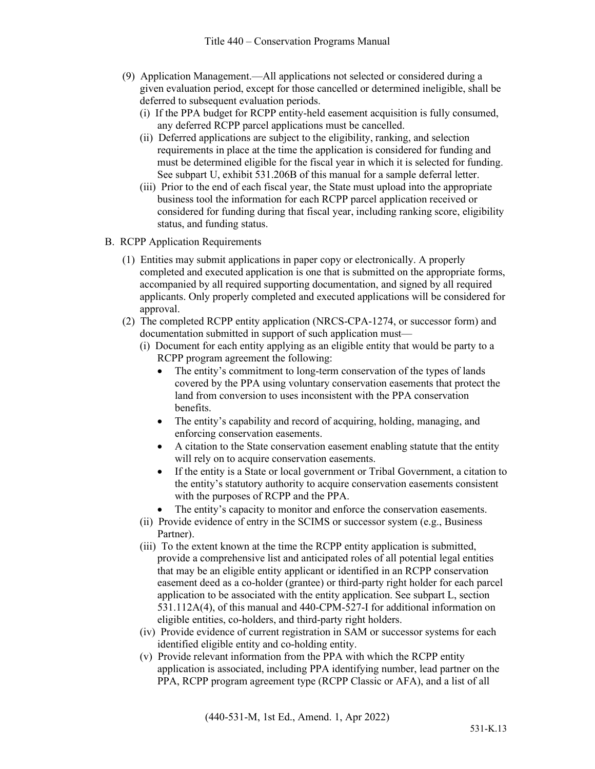- (9) Application Management.—All applications not selected or considered during a given evaluation period, except for those cancelled or determined ineligible, shall be deferred to subsequent evaluation periods.
	- (i) If the PPA budget for RCPP entity-held easement acquisition is fully consumed, any deferred RCPP parcel applications must be cancelled.
	- (ii) Deferred applications are subject to the eligibility, ranking, and selection requirements in place at the time the application is considered for funding and must be determined eligible for the fiscal year in which it is selected for funding. See subpart U, exhibit 531.206B of this manual for a sample deferral letter.
	- (iii) Prior to the end of each fiscal year, the State must upload into the appropriate business tool the information for each RCPP parcel application received or considered for funding during that fiscal year, including ranking score, eligibility status, and funding status.
- B. RCPP Application Requirements
	- (1) Entities may submit applications in paper copy or electronically. A properly completed and executed application is one that is submitted on the appropriate forms, accompanied by all required supporting documentation, and signed by all required applicants. Only properly completed and executed applications will be considered for approval.
	- (2) The completed RCPP entity application (NRCS-CPA-1274, or successor form) and documentation submitted in support of such application must—
		- (i) Document for each entity applying as an eligible entity that would be party to a RCPP program agreement the following:
			- The entity's commitment to long-term conservation of the types of lands covered by the PPA using voluntary conservation easements that protect the land from conversion to uses inconsistent with the PPA conservation benefits.
			- The entity's capability and record of acquiring, holding, managing, and enforcing conservation easements.
			- A citation to the State conservation easement enabling statute that the entity will rely on to acquire conservation easements.
			- If the entity is a State or local government or Tribal Government, a citation to the entity's statutory authority to acquire conservation easements consistent with the purposes of RCPP and the PPA.
			- The entity's capacity to monitor and enforce the conservation easements.
		- (ii) Provide evidence of entry in the SCIMS or successor system (e.g., Business Partner).
		- (iii) To the extent known at the time the RCPP entity application is submitted, provide a comprehensive list and anticipated roles of all potential legal entities that may be an eligible entity applicant or identified in an RCPP conservation easement deed as a co-holder (grantee) or third-party right holder for each parcel application to be associated with the entity application. See subpart L, section 531.112A(4), of this manual and 440-CPM-527-I for additional information on eligible entities, co-holders, and third-party right holders.
		- (iv) Provide evidence of current registration in SAM or successor systems for each identified eligible entity and co-holding entity.
		- (v) Provide relevant information from the PPA with which the RCPP entity application is associated, including PPA identifying number, lead partner on the PPA, RCPP program agreement type (RCPP Classic or AFA), and a list of all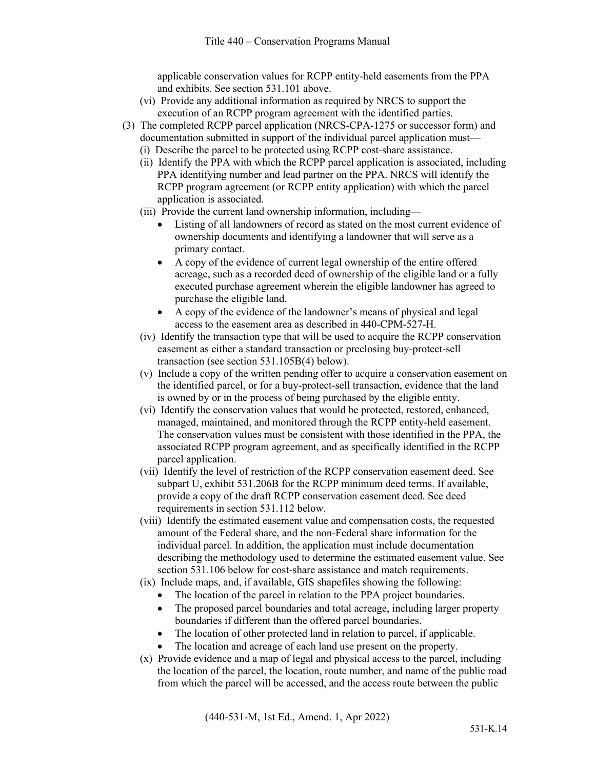applicable conservation values for RCPP entity-held easements from the PPA and exhibits. See section 531.101 above.

- (vi) Provide any additional information as required by NRCS to support the execution of an RCPP program agreement with the identified parties.
- (3) The completed RCPP parcel application (NRCS-CPA-1275 or successor form) and documentation submitted in support of the individual parcel application must—
	- (i) Describe the parcel to be protected using RCPP cost-share assistance.
	- (ii) Identify the PPA with which the RCPP parcel application is associated, including PPA identifying number and lead partner on the PPA. NRCS will identify the RCPP program agreement (or RCPP entity application) with which the parcel application is associated.
	- (iii) Provide the current land ownership information, including—
		- Listing of all landowners of record as stated on the most current evidence of ownership documents and identifying a landowner that will serve as a primary contact.
		- A copy of the evidence of current legal ownership of the entire offered acreage, such as a recorded deed of ownership of the eligible land or a fully executed purchase agreement wherein the eligible landowner has agreed to purchase the eligible land.
		- A copy of the evidence of the landowner's means of physical and legal access to the easement area as described in 440-CPM-527-H.
	- (iv) Identify the transaction type that will be used to acquire the RCPP conservation easement as either a standard transaction or preclosing buy-protect-sell transaction (see section 531.105B(4) below).
	- (v) Include a copy of the written pending offer to acquire a conservation easement on the identified parcel, or for a buy-protect-sell transaction, evidence that the land is owned by or in the process of being purchased by the eligible entity.
	- (vi) Identify the conservation values that would be protected, restored, enhanced, managed, maintained, and monitored through the RCPP entity-held easement. The conservation values must be consistent with those identified in the PPA, the associated RCPP program agreement, and as specifically identified in the RCPP parcel application.
	- (vii) Identify the level of restriction of the RCPP conservation easement deed. See subpart U, exhibit 531.206B for the RCPP minimum deed terms. If available, provide a copy of the draft RCPP conservation easement deed. See deed requirements in section 531.112 below.
	- (viii) Identify the estimated easement value and compensation costs, the requested amount of the Federal share, and the non-Federal share information for the individual parcel. In addition, the application must include documentation describing the methodology used to determine the estimated easement value. See section 531.106 below for cost-share assistance and match requirements.
	- (ix) Include maps, and, if available, GIS shapefiles showing the following:
		- The location of the parcel in relation to the PPA project boundaries.
		- The proposed parcel boundaries and total acreage, including larger property boundaries if different than the offered parcel boundaries.
		- The location of other protected land in relation to parcel, if applicable.
		- The location and acreage of each land use present on the property.
	- (x) Provide evidence and a map of legal and physical access to the parcel, including the location of the parcel, the location, route number, and name of the public road from which the parcel will be accessed, and the access route between the public

(440-531-M, 1st Ed., Amend. 1, Apr 2022)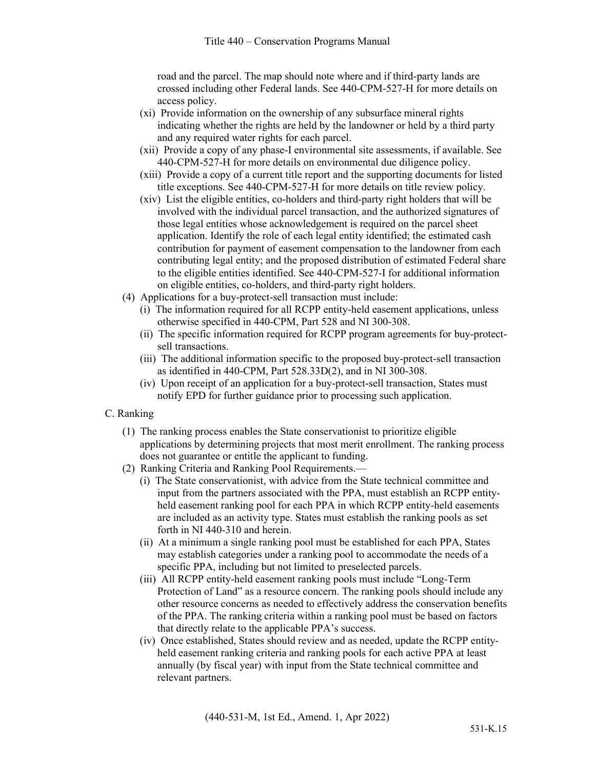road and the parcel. The map should note where and if third-party lands are crossed including other Federal lands. See 440-CPM-527-H for more details on access policy.

- (xi) Provide information on the ownership of any subsurface mineral rights indicating whether the rights are held by the landowner or held by a third party and any required water rights for each parcel.
- (xii) Provide a copy of any phase-I environmental site assessments, if available. See 440-CPM-527-H for more details on environmental due diligence policy.
- (xiii) Provide a copy of a current title report and the supporting documents for listed title exceptions. See 440-CPM-527-H for more details on title review policy.
- (xiv) List the eligible entities, co-holders and third-party right holders that will be involved with the individual parcel transaction, and the authorized signatures of those legal entities whose acknowledgement is required on the parcel sheet application. Identify the role of each legal entity identified; the estimated cash contribution for payment of easement compensation to the landowner from each contributing legal entity; and the proposed distribution of estimated Federal share to the eligible entities identified. See 440-CPM-527-I for additional information on eligible entities, co-holders, and third-party right holders.
- (4) Applications for a buy-protect-sell transaction must include:
	- (i) The information required for all RCPP entity-held easement applications, unless otherwise specified in 440-CPM, Part 528 and NI 300-308.
	- (ii) The specific information required for RCPP program agreements for buy-protectsell transactions.
	- (iii) The additional information specific to the proposed buy-protect-sell transaction as identified in 440-CPM, Part 528.33D(2), and in NI 300-308.
	- (iv) Upon receipt of an application for a buy-protect-sell transaction, States must notify EPD for further guidance prior to processing such application.

#### C. Ranking

- (1) The ranking process enables the State conservationist to prioritize eligible applications by determining projects that most merit enrollment. The ranking process does not guarantee or entitle the applicant to funding.
- (2) Ranking Criteria and Ranking Pool Requirements.—
	- (i) The State conservationist, with advice from the State technical committee and input from the partners associated with the PPA, must establish an RCPP entityheld easement ranking pool for each PPA in which RCPP entity-held easements are included as an activity type. States must establish the ranking pools as set forth in NI 440-310 and herein.
	- (ii) At a minimum a single ranking pool must be established for each PPA, States may establish categories under a ranking pool to accommodate the needs of a specific PPA, including but not limited to preselected parcels.
	- (iii) All RCPP entity-held easement ranking pools must include "Long-Term Protection of Land" as a resource concern. The ranking pools should include any other resource concerns as needed to effectively address the conservation benefits of the PPA. The ranking criteria within a ranking pool must be based on factors that directly relate to the applicable PPA's success.
	- (iv) Once established, States should review and as needed, update the RCPP entityheld easement ranking criteria and ranking pools for each active PPA at least annually (by fiscal year) with input from the State technical committee and relevant partners.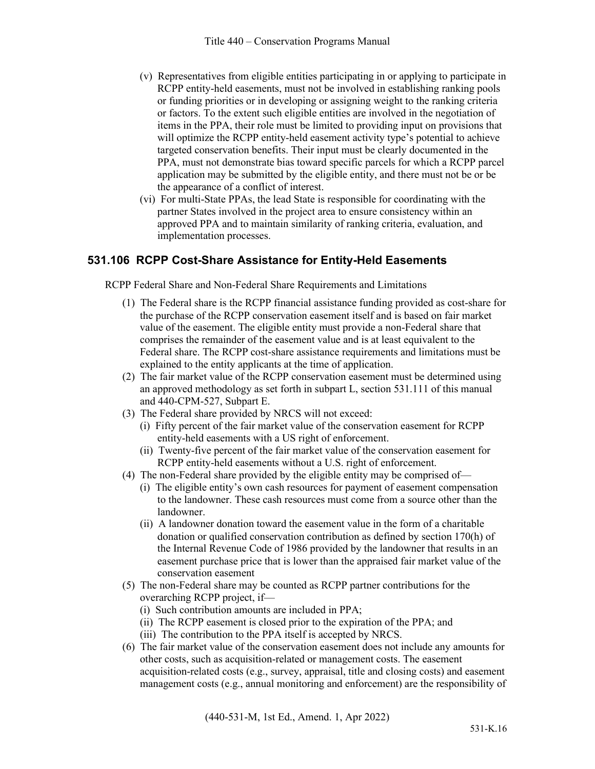- (v) Representatives from eligible entities participating in or applying to participate in RCPP entity-held easements, must not be involved in establishing ranking pools or funding priorities or in developing or assigning weight to the ranking criteria or factors. To the extent such eligible entities are involved in the negotiation of items in the PPA, their role must be limited to providing input on provisions that will optimize the RCPP entity-held easement activity type's potential to achieve targeted conservation benefits. Their input must be clearly documented in the PPA, must not demonstrate bias toward specific parcels for which a RCPP parcel application may be submitted by the eligible entity, and there must not be or be the appearance of a conflict of interest.
- (vi) For multi-State PPAs, the lead State is responsible for coordinating with the partner States involved in the project area to ensure consistency within an approved PPA and to maintain similarity of ranking criteria, evaluation, and implementation processes.

# **531.106 RCPP Cost-Share Assistance for Entity-Held Easements**

RCPP Federal Share and Non-Federal Share Requirements and Limitations

- (1) The Federal share is the RCPP financial assistance funding provided as cost-share for the purchase of the RCPP conservation easement itself and is based on fair market value of the easement. The eligible entity must provide a non-Federal share that comprises the remainder of the easement value and is at least equivalent to the Federal share. The RCPP cost-share assistance requirements and limitations must be explained to the entity applicants at the time of application.
- (2) The fair market value of the RCPP conservation easement must be determined using an approved methodology as set forth in subpart L, section 531.111 of this manual and 440-CPM-527, Subpart E.
- (3) The Federal share provided by NRCS will not exceed:
	- (i) Fifty percent of the fair market value of the conservation easement for RCPP entity-held easements with a US right of enforcement.
	- (ii) Twenty-five percent of the fair market value of the conservation easement for RCPP entity-held easements without a U.S. right of enforcement.
- (4) The non-Federal share provided by the eligible entity may be comprised of—
	- (i) The eligible entity's own cash resources for payment of easement compensation to the landowner. These cash resources must come from a source other than the landowner.
	- (ii) A landowner donation toward the easement value in the form of a charitable donation or qualified conservation contribution as defined by section 170(h) of the Internal Revenue Code of 1986 provided by the landowner that results in an easement purchase price that is lower than the appraised fair market value of the conservation easement
- (5) The non-Federal share may be counted as RCPP partner contributions for the overarching RCPP project, if—
	- (i) Such contribution amounts are included in PPA;
	- (ii) The RCPP easement is closed prior to the expiration of the PPA; and
	- (iii) The contribution to the PPA itself is accepted by NRCS.
- (6) The fair market value of the conservation easement does not include any amounts for other costs, such as acquisition-related or management costs. The easement acquisition-related costs (e.g., survey, appraisal, title and closing costs) and easement management costs (e.g., annual monitoring and enforcement) are the responsibility of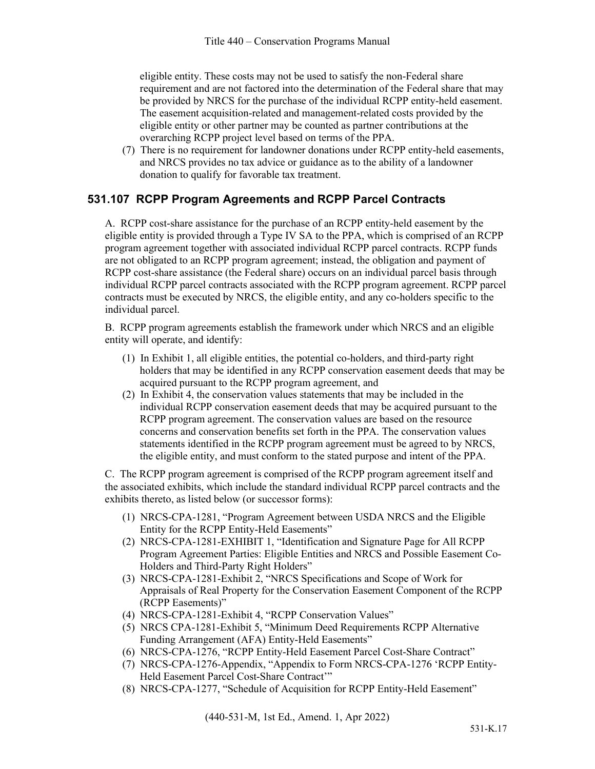eligible entity. These costs may not be used to satisfy the non-Federal share requirement and are not factored into the determination of the Federal share that may be provided by NRCS for the purchase of the individual RCPP entity-held easement. The easement acquisition-related and management-related costs provided by the eligible entity or other partner may be counted as partner contributions at the overarching RCPP project level based on terms of the PPA.

(7) There is no requirement for landowner donations under RCPP entity-held easements, and NRCS provides no tax advice or guidance as to the ability of a landowner donation to qualify for favorable tax treatment.

# **531.107 RCPP Program Agreements and RCPP Parcel Contracts**

A. RCPP cost-share assistance for the purchase of an RCPP entity-held easement by the eligible entity is provided through a Type IV SA to the PPA, which is comprised of an RCPP program agreement together with associated individual RCPP parcel contracts. RCPP funds are not obligated to an RCPP program agreement; instead, the obligation and payment of RCPP cost-share assistance (the Federal share) occurs on an individual parcel basis through individual RCPP parcel contracts associated with the RCPP program agreement. RCPP parcel contracts must be executed by NRCS, the eligible entity, and any co-holders specific to the individual parcel.

B. RCPP program agreements establish the framework under which NRCS and an eligible entity will operate, and identify:

- (1) In Exhibit 1, all eligible entities, the potential co-holders, and third-party right holders that may be identified in any RCPP conservation easement deeds that may be acquired pursuant to the RCPP program agreement, and
- (2) In Exhibit 4, the conservation values statements that may be included in the individual RCPP conservation easement deeds that may be acquired pursuant to the RCPP program agreement. The conservation values are based on the resource concerns and conservation benefits set forth in the PPA. The conservation values statements identified in the RCPP program agreement must be agreed to by NRCS, the eligible entity, and must conform to the stated purpose and intent of the PPA.

C. The RCPP program agreement is comprised of the RCPP program agreement itself and the associated exhibits, which include the standard individual RCPP parcel contracts and the exhibits thereto, as listed below (or successor forms):

- (1) NRCS-CPA-1281, "Program Agreement between USDA NRCS and the Eligible Entity for the RCPP Entity-Held Easements"
- (2) NRCS-CPA-1281-EXHIBIT 1, "Identification and Signature Page for All RCPP Program Agreement Parties: Eligible Entities and NRCS and Possible Easement Co-Holders and Third-Party Right Holders"
- (3) NRCS-CPA-1281-Exhibit 2, "NRCS Specifications and Scope of Work for Appraisals of Real Property for the Conservation Easement Component of the RCPP (RCPP Easements)"
- (4) NRCS-CPA-1281-Exhibit 4, "RCPP Conservation Values"
- (5) NRCS CPA-1281-Exhibit 5, "Minimum Deed Requirements RCPP Alternative Funding Arrangement (AFA) Entity-Held Easements"
- (6) NRCS-CPA-1276, "RCPP Entity-Held Easement Parcel Cost-Share Contract"
- (7) NRCS-CPA-1276-Appendix, "Appendix to Form NRCS-CPA-1276 'RCPP Entity-Held Easement Parcel Cost-Share Contract'"
- (8) NRCS-CPA-1277, "Schedule of Acquisition for RCPP Entity-Held Easement"